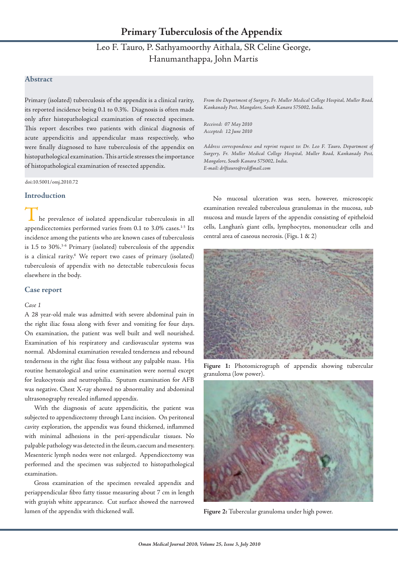# Leo F. Tauro, P. Sathyamoorthy Aithala, SR Celine George, Hanumanthappa, John Martis

## **Abstract**

Primary (isolated) tuberculosis of the appendix is a clinical rarity, its reported incidence being 0.1 to 0.3%. Diagnosis is often made only after histopathological examination of resected specimen. This report describes two patients with clinical diagnosis of acute appendicitis and appendicular mass respectively, who were finally diagnosed to have tuberculosis of the appendix on histopathological examination. This article stresses the importance of histopathological examination of resected appendix.

doi:10.5001/omj.2010.72

### **Introduction**

he prevalence of isolated appendicular tuberculosis in all appendicectomies performed varies from 0.1 to 3.0% cases.<sup>1-3</sup> Its incidence among the patients who are known cases of tuberculosis is 1.5 to 30%.<sup>3-6</sup> Primary (isolated) tuberculosis of the appendix is a clinical rarity.6 We report two cases of primary (isolated) tuberculosis of appendix with no detectable tuberculosis focus elsewhere in the body.

#### **Case report**

#### *Case 1*

A 28 year-old male was admitted with severe abdominal pain in the right iliac fossa along with fever and vomiting for four days. On examination, the patient was well built and well nourished. Examination of his respiratory and cardiovascular systems was normal. Abdominal examination revealed tenderness and rebound tenderness in the right iliac fossa without any palpable mass. His routine hematological and urine examination were normal except for leukocytosis and neutrophilia. Sputum examination for AFB was negative. Chest X-ray showed no abnormality and abdominal ultrasonography revealed inflamed appendix.

With the diagnosis of acute appendicitis, the patient was subjected to appendicectomy through Lanz incision. On peritoneal cavity exploration, the appendix was found thickened, inflammed with minimal adhesions in the peri-appendicular tissues. No palpable pathology was detected in the ileum, caecum and mesentery. Mesenteric lymph nodes were not enlarged. Appendicectomy was performed and the specimen was subjected to histopathological examination.

Gross examination of the specimen revealed appendix and periappendicular fibro fatty tissue measuring about 7 cm in length with grayish white appearance. Cut surface showed the narrowed lumen of the appendix with thickened wall.

*From the Department of Surgery, Fr. Muller Medical College Hospital, Muller Road, Kankanady Post, Mangalore, South Kanara 575002, India.*

*Received: 07 May 2010 Accepted: 12 June 2010*

*Address correspondence and reprint request to: Dr. Leo F. Tauro, Department of Surgery, Fr. Muller Medical College Hospital, Muller Road, Kankanady Post, Mangalore, South Kanara 575002, India. E-mail: drlftauro@rediffmail.com*

No mucosal ulceration was seen, however, microscopic examination revealed tuberculous granulomas in the mucosa, sub mucosa and muscle layers of the appendix consisting of epitheloid cells, Langhan's giant cells, lymphocytes, mononuclear cells and central area of caseous necrosis. (Figs. 1 & 2)



**Figure 1:** Photomicrograph of appendix showing tubercular granuloma (low power).



**Figure 2:** Tubercular granuloma under high power.